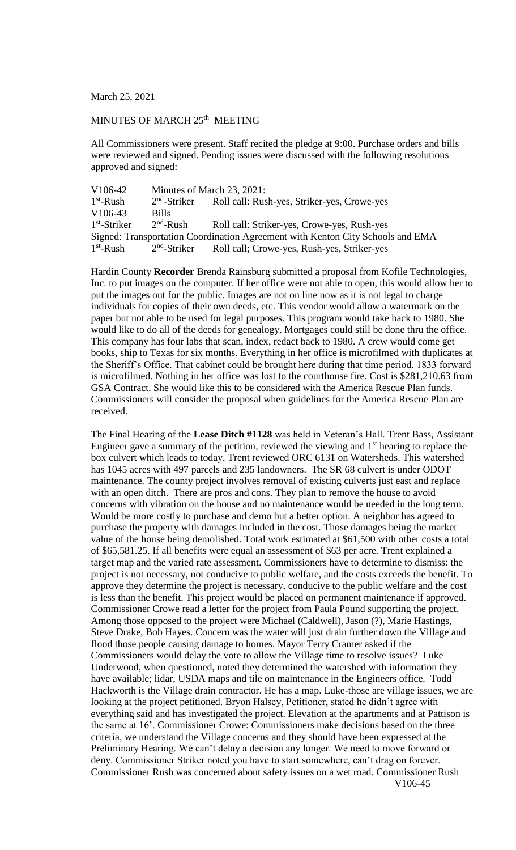March 25, 2021

## MINUTES OF MARCH 25<sup>th</sup> MEETING

All Commissioners were present. Staff recited the pledge at 9:00. Purchase orders and bills were reviewed and signed. Pending issues were discussed with the following resolutions approved and signed:

| V <sub>106-42</sub> | Minutes of March 23, 2021: |                                                                                |
|---------------------|----------------------------|--------------------------------------------------------------------------------|
| $1st$ -Rush         | $2nd$ -Striker             | Roll call: Rush-yes, Striker-yes, Crowe-yes                                    |
| V <sub>106-43</sub> | <b>Bills</b>               |                                                                                |
| $1st$ -Striker      | $2nd$ -Rush                | Roll call: Striker-yes, Crowe-yes, Rush-yes                                    |
|                     |                            | Signed: Transportation Coordination Agreement with Kenton City Schools and EMA |
| $1st$ -Rush         |                            | 2 <sup>nd</sup> -Striker Roll call; Crowe-yes, Rush-yes, Striker-yes           |

Hardin County **Recorder** Brenda Rainsburg submitted a proposal from Kofile Technologies, Inc. to put images on the computer. If her office were not able to open, this would allow her to put the images out for the public. Images are not on line now as it is not legal to charge individuals for copies of their own deeds, etc. This vendor would allow a watermark on the paper but not able to be used for legal purposes. This program would take back to 1980. She would like to do all of the deeds for genealogy. Mortgages could still be done thru the office. This company has four labs that scan, index, redact back to 1980. A crew would come get books, ship to Texas for six months. Everything in her office is microfilmed with duplicates at the Sheriff's Office. That cabinet could be brought here during that time period. 1833 forward is microfilmed. Nothing in her office was lost to the courthouse fire. Cost is \$281,210.63 from GSA Contract. She would like this to be considered with the America Rescue Plan funds. Commissioners will consider the proposal when guidelines for the America Rescue Plan are received.

The Final Hearing of the **Lease Ditch #1128** was held in Veteran's Hall. Trent Bass, Assistant Engineer gave a summary of the petition, reviewed the viewing and  $1<sup>st</sup>$  hearing to replace the box culvert which leads to today. Trent reviewed ORC 6131 on Watersheds. This watershed has 1045 acres with 497 parcels and 235 landowners. The SR 68 culvert is under ODOT maintenance. The county project involves removal of existing culverts just east and replace with an open ditch. There are pros and cons. They plan to remove the house to avoid concerns with vibration on the house and no maintenance would be needed in the long term. Would be more costly to purchase and demo but a better option. A neighbor has agreed to purchase the property with damages included in the cost. Those damages being the market value of the house being demolished. Total work estimated at \$61,500 with other costs a total of \$65,581.25. If all benefits were equal an assessment of \$63 per acre. Trent explained a target map and the varied rate assessment. Commissioners have to determine to dismiss: the project is not necessary, not conducive to public welfare, and the costs exceeds the benefit. To approve they determine the project is necessary, conducive to the public welfare and the cost is less than the benefit. This project would be placed on permanent maintenance if approved. Commissioner Crowe read a letter for the project from Paula Pound supporting the project. Among those opposed to the project were Michael (Caldwell), Jason (?), Marie Hastings, Steve Drake, Bob Hayes. Concern was the water will just drain further down the Village and flood those people causing damage to homes. Mayor Terry Cramer asked if the Commissioners would delay the vote to allow the Village time to resolve issues? Luke Underwood, when questioned, noted they determined the watershed with information they have available; lidar, USDA maps and tile on maintenance in the Engineers office. Todd Hackworth is the Village drain contractor. He has a map. Luke-those are village issues, we are looking at the project petitioned. Bryon Halsey, Petitioner, stated he didn't agree with everything said and has investigated the project. Elevation at the apartments and at Pattison is the same at 16'. Commissioner Crowe: Commissioners make decisions based on the three criteria, we understand the Village concerns and they should have been expressed at the Preliminary Hearing. We can't delay a decision any longer. We need to move forward or deny. Commissioner Striker noted you have to start somewhere, can't drag on forever. Commissioner Rush was concerned about safety issues on a wet road. Commissioner Rush V106-45